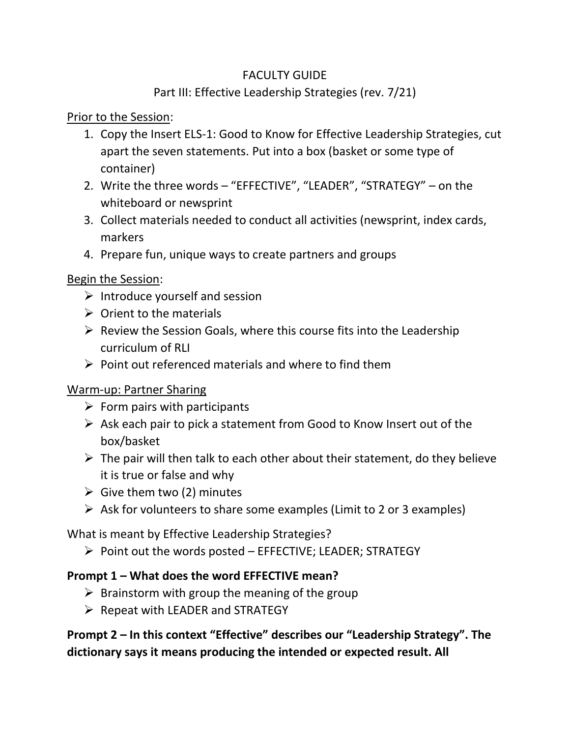#### FACULTY GUIDE

## Part III: Effective Leadership Strategies (rev. 7/21)

## Prior to the Session:

- 1. Copy the Insert ELS-1: Good to Know for Effective Leadership Strategies, cut apart the seven statements. Put into a box (basket or some type of container)
- 2. Write the three words "EFFECTIVE", "LEADER", "STRATEGY" on the whiteboard or newsprint
- 3. Collect materials needed to conduct all activities (newsprint, index cards, markers
- 4. Prepare fun, unique ways to create partners and groups

## Begin the Session:

- $\triangleright$  Introduce yourself and session
- $\triangleright$  Orient to the materials
- $\triangleright$  Review the Session Goals, where this course fits into the Leadership curriculum of RII
- $\triangleright$  Point out referenced materials and where to find them

## Warm-up: Partner Sharing

- $\triangleright$  Form pairs with participants
- $\triangleright$  Ask each pair to pick a statement from Good to Know Insert out of the box/basket
- $\triangleright$  The pair will then talk to each other about their statement, do they believe it is true or false and why
- $\triangleright$  Give them two (2) minutes
- $\triangleright$  Ask for volunteers to share some examples (Limit to 2 or 3 examples)

What is meant by Effective Leadership Strategies?

 $\triangleright$  Point out the words posted – EFFECTIVE; LEADER; STRATEGY

## **Prompt 1 – What does the word EFFECTIVE mean?**

- $\triangleright$  Brainstorm with group the meaning of the group
- $\triangleright$  Repeat with LEADER and STRATEGY

**Prompt 2 – In this context "Effective" describes our "Leadership Strategy". The dictionary says it means producing the intended or expected result. All**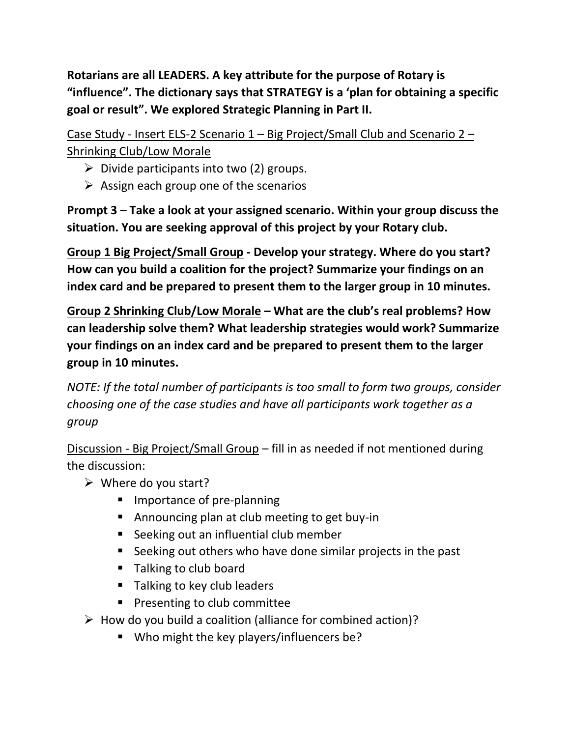**Rotarians are all LEADERS. A key attribute for the purpose of Rotary is "influence". The dictionary says that STRATEGY is a 'plan for obtaining a specific goal or result". We explored Strategic Planning in Part II.** 

Case Study - Insert ELS-2 Scenario 1 – Big Project/Small Club and Scenario 2 – Shrinking Club/Low Morale

- $\triangleright$  Divide participants into two (2) groups.
- $\triangleright$  Assign each group one of the scenarios

**Prompt 3 – Take a look at your assigned scenario. Within your group discuss the situation. You are seeking approval of this project by your Rotary club.** 

**Group 1 Big Project/Small Group - Develop your strategy. Where do you start? How can you build a coalition for the project? Summarize your findings on an index card and be prepared to present them to the larger group in 10 minutes.**

**Group 2 Shrinking Club/Low Morale – What are the club's real problems? How can leadership solve them? What leadership strategies would work? Summarize your findings on an index card and be prepared to present them to the larger group in 10 minutes.**

*NOTE: If the total number of participants is too small to form two groups, consider choosing one of the case studies and have all participants work together as a group*

Discussion - Big Project/Small Group – fill in as needed if not mentioned during the discussion:

- $\triangleright$  Where do you start?
	- Importance of pre-planning
	- Announcing plan at club meeting to get buy-in
	- Seeking out an influential club member
	- Seeking out others who have done similar projects in the past
	- Talking to club board
	- Talking to key club leaders
	- Presenting to club committee
- $\triangleright$  How do you build a coalition (alliance for combined action)?
	- Who might the key players/influencers be?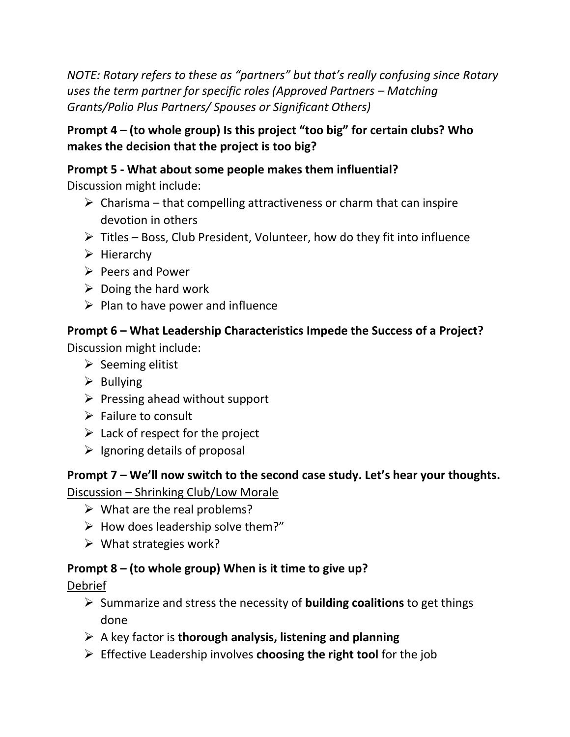*NOTE: Rotary refers to these as "partners" but that's really confusing since Rotary uses the term partner for specific roles (Approved Partners – Matching Grants/Polio Plus Partners/ Spouses or Significant Others)*

## **Prompt 4 – (to whole group) Is this project "too big" for certain clubs? Who makes the decision that the project is too big?**

## **Prompt 5 - What about some people makes them influential?**

Discussion might include:

- $\triangleright$  Charisma that compelling attractiveness or charm that can inspire devotion in others
- ➢ Titles Boss, Club President, Volunteer, how do they fit into influence
- ➢ Hierarchy
- ➢ Peers and Power
- $\triangleright$  Doing the hard work
- $\triangleright$  Plan to have power and influence

# **Prompt 6 – What Leadership Characteristics Impede the Success of a Project?**

Discussion might include:

- $\triangleright$  Seeming elitist
- $\triangleright$  Bullying
- $\triangleright$  Pressing ahead without support
- ➢ Failure to consult
- $\triangleright$  Lack of respect for the project
- $\triangleright$  Ignoring details of proposal

**Prompt 7 – We'll now switch to the second case study. Let's hear your thoughts.** Discussion – Shrinking Club/Low Morale

- $\triangleright$  What are the real problems?
- $\triangleright$  How does leadership solve them?"
- ➢ What strategies work?

## **Prompt 8 – (to whole group) When is it time to give up?**

## Debrief

- ➢ Summarize and stress the necessity of **building coalitions** to get things done
- ➢ A key factor is **thorough analysis, listening and planning**
- ➢ Effective Leadership involves **choosing the right tool** for the job